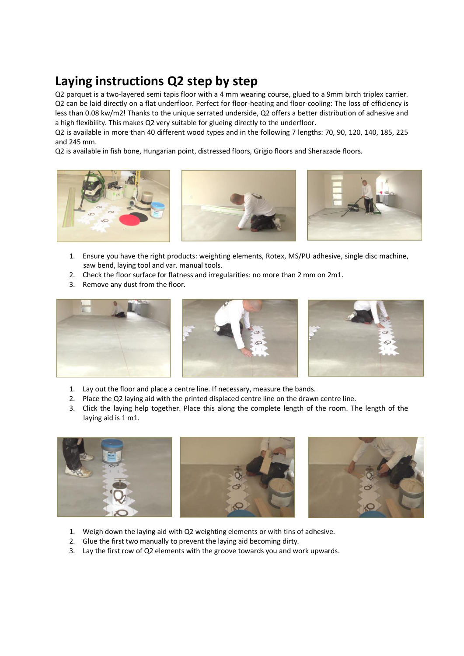## **Laying instructions Q2 step by step**

Q2 parquet is a two-layered semi tapis floor with a 4 mm wearing course, glued to a 9mm birch triplex carrier. Q2 can be laid directly on a flat underfloor. Perfect for floor-heating and floor-cooling: The loss of efficiency is less than 0.08 kw/m2! Thanks to the unique serrated underside, Q2 offers a better distribution of adhesive and a high flexibility. This makes Q2 very suitable for glueing directly to the underfloor.

Q2 is available in more than 40 different wood types and in the following 7 lengths: 70, 90, 120, 140, 185, 225 and 245 mm.

Q2 is available in fish bone, Hungarian point, distressed floors, Grigio floors and Sherazade floors.







- 1. Ensure you have the right products: weighting elements, Rotex, MS/PU adhesive, single disc machine, saw bend, laying tool and var. manual tools.
- 2. Check the floor surface for flatness and irregularities: no more than 2 mm on 2m1.
- 3. Remove any dust from the floor.



- 1. Lay out the floor and place a centre line. If necessary, measure the bands.
- 2. Place the Q2 laying aid with the printed displaced centre line on the drawn centre line.
- 3. Click the laying help together. Place this along the complete length of the room. The length of the laying aid is 1 m1.



- 1. Weigh down the laying aid with Q2 weighting elements or with tins of adhesive.
- 2. Glue the first two manually to prevent the laying aid becoming dirty.
- 3. Lay the first row of Q2 elements with the groove towards you and work upwards.